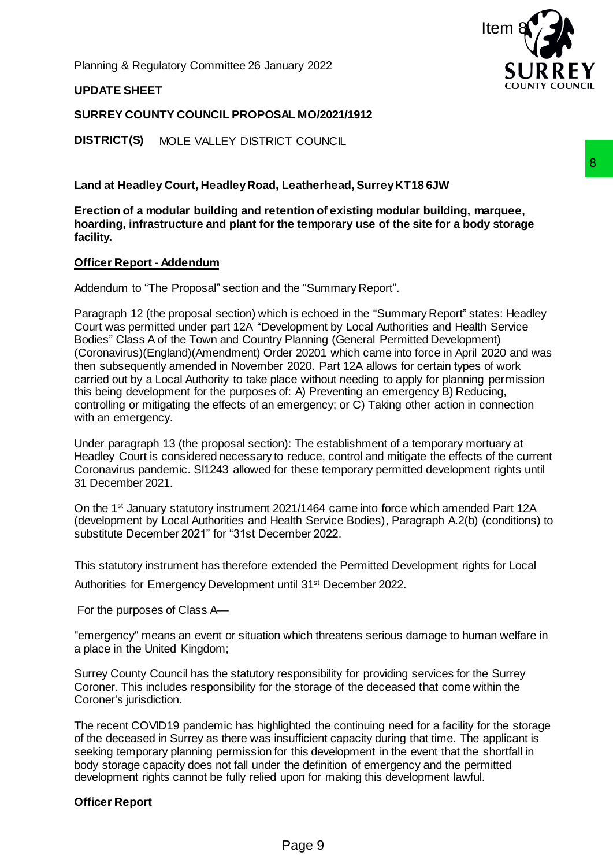Planning & Regulatory Committee 26 January 2022

## **UPDATE SHEET**

## **SURREY COUNTY COUNCIL PROPOSAL MO/2021/1912**

**DISTRICT(S)** MOLE VALLEY DISTRICT COUNCIL

**Land at Headley Court, Headley Road, Leatherhead, Surrey KT18 6JW**

**Erection of a modular building and retention of existing modular building, marquee, hoarding, infrastructure and plant for the temporary use of the site for a body storage facility.**

## **Officer Report - Addendum**

Addendum to "The Proposal" section and the "Summary Report".

Paragraph 12 (the proposal section) which is echoed in the "Summary Report" states: Headley Court was permitted under part 12A "Development by Local Authorities and Health Service Bodies" Class A of the Town and Country Planning (General Permitted Development) (Coronavirus)(England)(Amendment) Order 20201 which came into force in April 2020 and was then subsequently amended in November 2020. Part 12A allows for certain types of work carried out by a Local Authority to take place without needing to apply for planning permission this being development for the purposes of: A) Preventing an emergency B) Reducing, controlling or mitigating the effects of an emergency; or C) Taking other action in connection with an emergency. Leatherhead, Surrey KT18 6JW<br>
antion of existing modular building, marquee,<br>
antion of existing modular building, marquee,<br>
the "Summary Report".<br>
this echoed in the "Summary Report" states: Headley<br>
elopment by Local Auth

Under paragraph 13 (the proposal section): The establishment of a temporary mortuary at Headley Court is considered necessary to reduce, control and mitigate the effects of the current Coronavirus pandemic. SI1243 allowed for these temporary permitted development rights until 31 December 2021.

On the 1st January statutory instrument 2021/1464 came into force which amended Part 12A (development by Local Authorities and Health Service Bodies), Paragraph A.2(b) (conditions) to substitute December 2021" for "31st December 2022.

This statutory instrument has therefore extended the Permitted Development rights for Local

Authorities for Emergency Development until 31st December 2022.

For the purposes of Class A—

"emergency" means an event or situation which threatens serious damage to human welfare in a place in the United Kingdom;

Surrey County Council has the statutory responsibility for providing services for the Surrey Coroner. This includes responsibility for the storage of the deceased that come within the Coroner's jurisdiction.

The recent COVID19 pandemic has highlighted the continuing need for a facility for the storage of the deceased in Surrey as there was insufficient capacity during that time. The applicant is seeking temporary planning permission for this development in the event that the shortfall in body storage capacity does not fall under the definition of emergency and the permitted development rights cannot be fully relied upon for making this development lawful.

## **Officer Report**